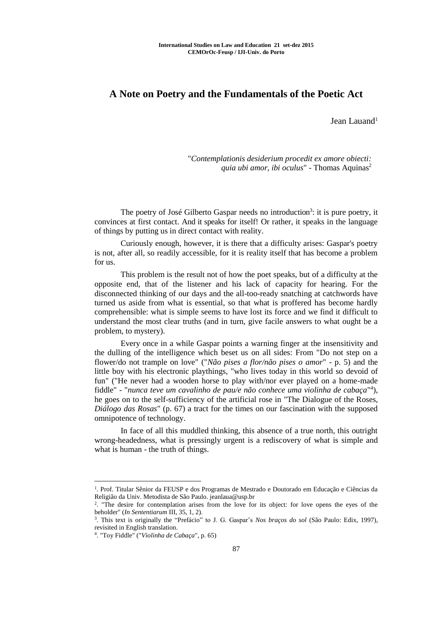## **A Note on Poetry and the Fundamentals of the Poetic Act**

Jean Lauand<sup>1</sup>

"*Contemplationis desiderium procedit ex amore obiecti: quia ubi amor, ibi oculus*" - Thomas Aquinas<sup>2</sup>

The poetry of José Gilberto Gaspar needs no introduction<sup>3</sup>: it is pure poetry, it convinces at first contact. And it speaks for itself! Or rather, it speaks in the language of things by putting us in direct contact with reality.

Curiously enough, however, it is there that a difficulty arises: Gaspar's poetry is not, after all, so readily accessible, for it is reality itself that has become a problem for us.

This problem is the result not of how the poet speaks, but of a difficulty at the opposite end, that of the listener and his lack of capacity for hearing. For the disconnected thinking of our days and the all-too-ready snatching at catchwords have turned us aside from what is essential, so that what is proffered has become hardly comprehensible: what is simple seems to have lost its force and we find it difficult to understand the most clear truths (and in turn, give facile answers to what ought be a problem, to mystery).

Every once in a while Gaspar points a warning finger at the insensitivity and the dulling of the intelligence which beset us on all sides: From "Do not step on a flower/do not trample on love" ("*Não pises a flor/não pises o amor*" - p. 5) and the little boy with his electronic playthings, "who lives today in this world so devoid of fun" ("He never had a wooden horse to play with/nor ever played on a home-made fiddle" - "nunca teve um cavalinho de pau/e não conhece uma violinha de cabaça"<sup>4</sup>), he goes on to the self-sufficiency of the artificial rose in "The Dialogue of the Roses, *Diálogo das Rosas*" (p. 67) a tract for the times on our fascination with the supposed omnipotence of technology.

In face of all this muddled thinking, this absence of a true north, this outright wrong-headedness, what is pressingly urgent is a rediscovery of what is simple and what is human - the truth of things.

<u>.</u>

<sup>1</sup> . Prof. Titular Sênior da FEUSP e dos Programas de Mestrado e Doutorado em Educação e Ciências da Religião da Univ. Metodista de São Paulo. jeanlaua@usp.br

<sup>2</sup> . "The desire for contemplation arises from the love for its object: for love opens the eyes of the beholder" (*In Sententiarum* III, 35, 1, 2).

<sup>3</sup> . This text is originally the "Prefácio" to J. G. Gaspar's *Nos braços do sol* (São Paulo: Edix, 1997), revisited in English translation.

<sup>4</sup> . "Toy Fiddle" ("*Violinha de Cabaça*", p. 65)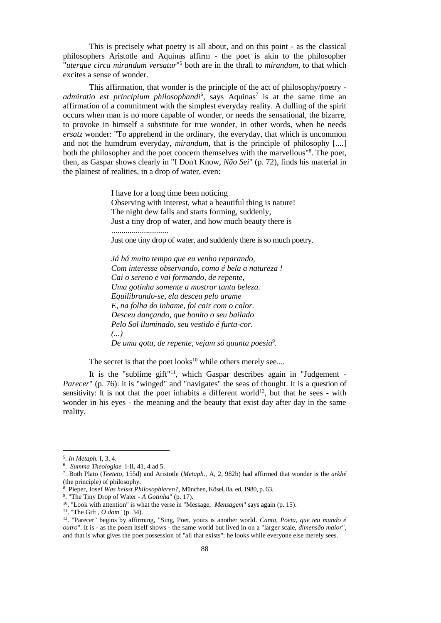This is precisely what poetry is all about, and on this point - as the classical philosophers Aristotle and Aquinas affirm - the poet is akin to the philosopher "*uterque circa mirandum versatur*" <sup>5</sup> both are in the thrall to *mirandum*, to that which excites a sense of wonder.

This affirmation, that wonder is the principle of the act of philosophy/poetry admiratio est principium philosophandi<sup>6</sup>, says Aquinas<sup>7</sup> is at the same time an affirmation of a commitment with the simplest everyday reality. A dulling of the spirit occurs when man is no more capable of wonder, or needs the sensational, the bizarre, to provoke in himself a substitute for true wonder, in other words, when he needs *ersatz* wonder: "To apprehend in the ordinary, the everyday, that which is uncommon and not the humdrum everyday, *mirandum*, that is the principle of philosophy [....] both the philosopher and the poet concern themselves with the marvellous"<sup>8</sup>. The poet, then, as Gaspar shows clearly in "I Don't Know, *Não Sei*" (p. 72), finds his material in the plainest of realities, in a drop of water, even:

> I have for a long time been noticing Observing with interest, what a beautiful thing is nature! The night dew falls and starts forming, suddenly, Just a tiny drop of water, and how much beauty there is

Just one tiny drop of water, and suddenly there is so much poetry.

*Já há muito tempo que eu venho reparando, Com interesse observando, como é bela a natureza ! Cai o sereno e vai formando, de repente, Uma gotinha somente a mostrar tanta beleza. Equilibrando-se, ela desceu pelo arame E, na folha do inhame, foi cair com o calor. Desceu dançando, que bonito o seu bailado Pelo Sol iluminado, seu vestido é furta-cor. (...) De uma gota, de repente, vejam só quanta poesia*<sup>9</sup> *.*

The secret is that the poet looks $10$  while others merely see....

It is the "sublime gift"<sup>11</sup>, which Gaspar describes again in "Judgement -*Parecer*" (p. 76): it is "winged" and "navigates" the seas of thought. It is a question of sensitivity: It is not that the poet inhabits a different world<sup>12</sup>, but that he sees - with wonder in his eyes - the meaning and the beauty that exist day after day in the same reality.

1

............................

<sup>5</sup> . *In Metaph.* I, 3, 4.

<sup>6</sup> . *Summa Theologiae* I-II, 41, 4 ad 5.

<sup>7</sup> . Both Plato (*Teeteto*, 155d) and Aristotle (*Metaph.*, A, 2, 982b) had affirmed that wonder is the *arkhé* (the principle) of philosophy.

<sup>8</sup> . Pieper, Josef *Was heisst Philosophieren?*, München, Kösel, 8a. ed. 1980, p. 63.

<sup>9</sup> . "The Tiny Drop of Water - *A Gotinha*" (p. 17).

<sup>10</sup>. "Look with attention" is what the verse in "Message, *Mensagem*" says again (p. 15).

<sup>11</sup>. "The Gift , *O dom*" (p. 34).

<sup>12</sup>. "Parecer" begins by affirming, "Sing, Poet, yours is another world. *Canta, Poeta, que teu mundo é outro*". It is - as the poem itself shows - the same world but lived in on a "larger scale, *dimensão maior*", and that is what gives the poet possession of "all that exists": he looks while everyone else merely sees.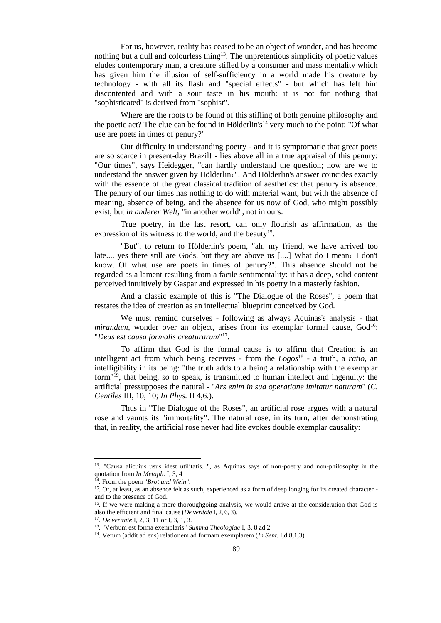For us, however, reality has ceased to be an object of wonder, and has become nothing but a dull and colourless thing<sup>13</sup>. The unpretentious simplicity of poetic values eludes contemporary man, a creature stifled by a consumer and mass mentality which has given him the illusion of self-sufficiency in a world made his creature by technology - with all its flash and "special effects" - but which has left him discontented and with a sour taste in his mouth: it is not for nothing that "sophisticated" is derived from "sophist".

Where are the roots to be found of this stifling of both genuine philosophy and the poetic act? The clue can be found in Hölderlin's<sup>14</sup> very much to the point: "Of what use are poets in times of penury?"

Our difficulty in understanding poetry - and it is symptomatic that great poets are so scarce in present-day Brazil! - lies above all in a true appraisal of this penury: "Our times", says Heidegger, "can hardly understand the question; how are we to understand the answer given by Hölderlin?". And Hölderlin's answer coincides exactly with the essence of the great classical tradition of aesthetics: that penury is absence. The penury of our times has nothing to do with material want, but with the absence of meaning, absence of being, and the absence for us now of God, who might possibly exist, but *in anderer Welt*, "in another world", not in ours.

True poetry, in the last resort, can only flourish as affirmation, as the expression of its witness to the world, and the beauty<sup>15</sup>.

"But", to return to Hölderlin's poem, "ah, my friend, we have arrived too late.... yes there still are Gods, but they are above us [....] What do I mean? I don't know. Of what use are poets in times of penury?". This absence should not be regarded as a lament resulting from a facile sentimentality: it has a deep, solid content perceived intuitively by Gaspar and expressed in his poetry in a masterly fashion.

And a classic example of this is "The Dialogue of the Roses", a poem that restates the idea of creation as an intellectual blueprint conceived by God.

We must remind ourselves - following as always Aquinas's analysis - that *mirandum*, wonder over an object, arises from its exemplar formal cause, God<sup>16</sup>: "*Deus est causa formalis creaturarum*" 17 .

To affirm that God is the formal cause is to affirm that Creation is an intelligent act from which being receives - from the *Logos*<sup>18</sup> - a truth, a *ratio*, an intelligibility in its being: "the truth adds to a being a relationship with the exemplar form"<sup>19</sup>, that being, so to speak, is transmitted to human intellect and ingenuity: the artificial pressupposes the natural - "*Ars enim in sua operatione imitatur naturam*" (*C. Gentiles* III, 10, 10; *In Phys.* II 4,6.).

Thus in "The Dialogue of the Roses", an artificial rose argues with a natural rose and vaunts its "immortality". The natural rose, in its turn, after demonstrating that, in reality, the artificial rose never had life evokes double exemplar causality:

<u>.</u>

<sup>13</sup>. "Causa alicuius usus idest utilitatis...", as Aquinas says of non-poetry and non-philosophy in the quotation from *In Metaph*. I, 3, 4

<sup>14</sup>. From the poem "*Brot und Wein*".

<sup>&</sup>lt;sup>15</sup>. Or, at least, as an absence felt as such, experienced as a form of deep longing for its created character and to the presence of God.

<sup>&</sup>lt;sup>16</sup>. If we were making a more thoroughgoing analysis, we would arrive at the consideration that God is also the efficient and final cause (*De veritate* I, 2, 6, 3).

<sup>17</sup> . *De veritate* I, 2, 3, 11 or I, 3, 1, 3.

<sup>18</sup>. "Verbum est forma exemplaris" *Summa Theologiae* I, 3, 8 ad 2.

<sup>19</sup>. Verum (addit ad ens) relationem ad formam exemplarem (*In Sent.* I,d.8,1,3).